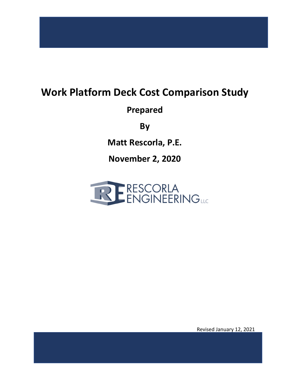### **Work Platform Deck Cost Comparison Study**

**Prepared** 

**By** 

**Matt Rescorla, P.E.** 

**November 2, 2020** 



Revised January 12, 2021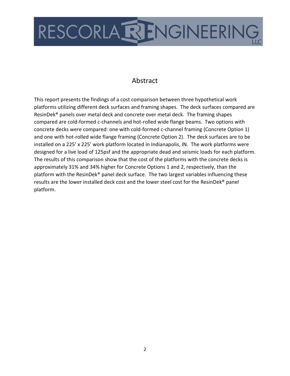

### Abstract

This report presents the findings of a cost comparison between three hypothetical work platforms utilizing different deck surfaces and framing shapes. The deck surfaces compared are ResinDek® panels over metal deck and concrete over metal deck. The framing shapes compared are cold-formed c-channels and hot-rolled wide flange beams. Two options with concrete decks were compared: one with cold-formed c-channel framing (Concrete Option 1) and one with hot-rolled wide flange framing (Concrete Option 2). The deck surfaces are to be installed on a 225' x 225' work platform located in Indianapolis, IN. The work platforms were designed for a live load of 125psf and the appropriate dead and seismic loads for each platform. The results of this comparison show that the cost of the platforms with the concrete decks is approximately 31% and 34% higher for Concrete Options 1 and 2, respectively, than the platform with the ResinDek® panel deck surface. The two largest variables influencing these results are the lower installed deck cost and the lower steel cost for the ResinDek® panel platform.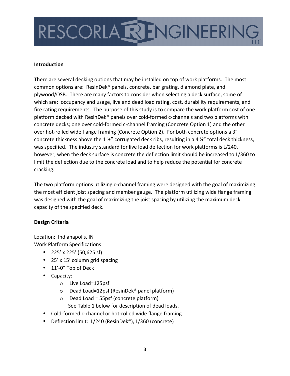# RESCORLARENGINEERING

#### **Introduction**

There are several decking options that may be installed on top of work platforms. The most common options are: ResinDek® panels, concrete, bar grating, diamond plate, and plywood/OSB. There are many factors to consider when selecting a deck surface, some of which are: occupancy and usage, live and dead load rating, cost, durability requirements, and fire rating requirements. The purpose of this study is to compare the work platform cost of one platform decked with ResinDek® panels over cold-formed c-channels and two platforms with concrete decks; one over cold-formed c-channel framing (Concrete Option 1) and the other over hot-rolled wide flange framing (Concrete Option 2). For both concrete options a 3" concrete thickness above the 1 ½" corrugated deck ribs, resulting in a 4 ½" total deck thickness, was specified. The industry standard for live load deflection for work platforms is L/240, however, when the deck surface is concrete the deflection limit should be increased to L/360 to limit the deflection due to the concrete load and to help reduce the potential for concrete cracking.

The two platform options utilizing c-channel framing were designed with the goal of maximizing the most efficient joist spacing and member gauge. The platform utilizing wide flange framing was designed with the goal of maximizing the joist spacing by utilizing the maximum deck capacity of the specified deck.

#### **Design Criteria**

Location: Indianapolis, IN Work Platform Specifications:

- 225' x 225' (50,625 sf)
- 25' x 15' column grid spacing
- 11'-0" Top of Deck
- Capacity:
	- o Live Load=125psf
	- o Dead Load=12psf (ResinDek® panel platform)
	- o Dead Load = 55psf (concrete platform) See Table 1 below for description of dead loads.
- Cold-formed c-channel or hot-rolled wide flange framing
- Deflection limit: L/240 (ResinDek®), L/360 (concrete)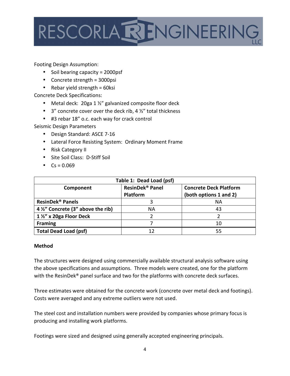

Footing Design Assumption:

- Soil bearing capacity = 2000psf
- Concrete strength = 3000psi
- Rebar yield strength  $= 60$ ksi

Concrete Deck Specifications:

- Metal deck: 20ga 1 ½" galvanized composite floor deck
- 3" concrete cover over the deck rib, 4  $\frac{1}{2}$ " total thickness
- #3 rebar 18" o.c. each way for crack control

Seismic Design Parameters

- Design Standard: ASCE 7-16
- Lateral Force Resisting System: Ordinary Moment Frame
- Risk Category II
- Site Soil Class: D-Stiff Soil
- $Cs = 0.069$

| Table 1: Dead Load (psf)           |                             |                               |  |  |  |
|------------------------------------|-----------------------------|-------------------------------|--|--|--|
| Component                          | ResinDek <sup>®</sup> Panel | <b>Concrete Deck Platform</b> |  |  |  |
|                                    | Platform                    | (both options 1 and 2)        |  |  |  |
| ResinDek <sup>®</sup> Panels       |                             | ΝA                            |  |  |  |
| 4 1/2" Concrete (3" above the rib) | NА                          | 43                            |  |  |  |
| 1 1/2" x 20ga Floor Deck           |                             |                               |  |  |  |
| <b>Framing</b>                     |                             | 10                            |  |  |  |
| <b>Total Dead Load (psf)</b>       |                             | 55                            |  |  |  |

#### **Method**

The structures were designed using commercially available structural analysis software using the above specifications and assumptions. Three models were created, one for the platform with the ResinDek<sup>®</sup> panel surface and two for the platforms with concrete deck surfaces.

Three estimates were obtained for the concrete work (concrete over metal deck and footings). Costs were averaged and any extreme outliers were not used.

The steel cost and installation numbers were provided by companies whose primary focus is producing and installing work platforms.

Footings were sized and designed using generally accepted engineering principals.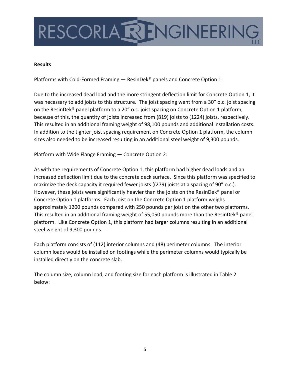

#### **Results**

Platforms with Cold-Formed Framing — ResinDek® panels and Concrete Option 1:

Due to the increased dead load and the more stringent deflection limit for Concrete Option 1, it was necessary to add joists to this structure. The joist spacing went from a 30" o.c. joist spacing on the ResinDek® panel platform to a 20" o.c. joist spacing on Concrete Option 1 platform, because of this, the quantity of joists increased from (819) joists to (1224) joists, respectively. This resulted in an additional framing weight of 98,100 pounds and additional installation costs. In addition to the tighter joist spacing requirement on Concrete Option 1 platform, the column sizes also needed to be increased resulting in an additional steel weight of 9,300 pounds.

Platform with Wide Flange Framing — Concrete Option 2:

As with the requirements of Concrete Option 1, this platform had higher dead loads and an increased deflection limit due to the concrete deck surface. Since this platform was specified to maximize the deck capacity it required fewer joists ((279) joists at a spacing of 90" o.c.). However, these joists were significantly heavier than the joists on the ResinDek® panel or Concrete Option 1 platforms. Each joist on the Concrete Option 1 platform weighs approximately 1200 pounds compared with 250 pounds per joist on the other two platforms. This resulted in an additional framing weight of 55,050 pounds more than the ResinDek® panel platform. Like Concrete Option 1, this platform had larger columns resulting in an additional steel weight of 9,300 pounds.

Each platform consists of (112) interior columns and (48) perimeter columns. The interior column loads would be installed on footings while the perimeter columns would typically be installed directly on the concrete slab.

The column size, column load, and footing size for each platform is illustrated in Table 2 below: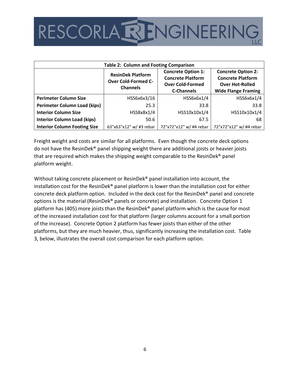### RESCORLA RENGINEERING

| <b>Table 2: Column and Footing Comparison</b> |                                                                           |                                                                                                       |                                                                                                               |  |  |  |
|-----------------------------------------------|---------------------------------------------------------------------------|-------------------------------------------------------------------------------------------------------|---------------------------------------------------------------------------------------------------------------|--|--|--|
|                                               | <b>ResinDek Platform</b><br><b>Over Cold-Formed C-</b><br><b>Channels</b> | <b>Concrete Option 1:</b><br><b>Concrete Platform</b><br><b>Over Cold-Formed</b><br><b>C-Channels</b> | <b>Concrete Option 2:</b><br><b>Concrete Platform</b><br><b>Over Hot-Rolled</b><br><b>Wide Flange Framing</b> |  |  |  |
| <b>Perimeter Column Size</b>                  | HSS6x6x3/16                                                               | HSS6x6x1/4                                                                                            | HSS6x6x1/4                                                                                                    |  |  |  |
| <b>Perimeter Column Load (kips)</b>           | 25.3                                                                      | 33.8                                                                                                  | 33.8                                                                                                          |  |  |  |
| <b>Interior Column Size</b>                   | HSS8x8x1/4                                                                | HSS10x10x1/4                                                                                          | HSS10x10x1/4                                                                                                  |  |  |  |
| <b>Interior Column Load (kips)</b>            | 50.6                                                                      | 67.5                                                                                                  | 68                                                                                                            |  |  |  |
| <b>Interior Column Footing Size</b>           | 63"x63"x12" w/ #3 rebar                                                   | 72"x72"x12" w/ #4 rebar                                                                               | 72"x72"x12" w/ #4 rebar                                                                                       |  |  |  |

Freight weight and costs are similar for all platforms. Even though the concrete deck options do not have the ResinDek® panel shipping weight there are additional joists or heavier joists that are required which makes the shipping weight comparable to the ResinDek® panel platform weight.

Without taking concrete placement or ResinDek® panel installation into account, the installation cost for the ResinDek® panel platform is lower than the installation cost for either concrete deck platform option. Included in the deck cost for the ResinDek® panel and concrete options is the material (ResinDek® panels or concrete) and installation. Concrete Option 1 platform has (405) more joists than the ResinDek® panel platform which is the cause for most of the increased installation cost for that platform (larger columns account for a small portion of the increase). Concrete Option 2 platform has fewer joists than either of the other platforms, but they are much heavier, thus, significantly increasing the installation cost. Table 3, below, illustrates the overall cost comparison for each platform option.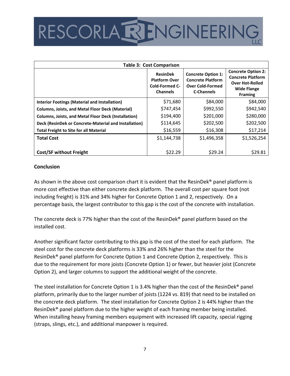### RESCORLARENGINEERING

| <b>Table 3: Cost Comparison</b>                             |                                                                              |                                                                                                       |                                                                                                                         |  |  |  |
|-------------------------------------------------------------|------------------------------------------------------------------------------|-------------------------------------------------------------------------------------------------------|-------------------------------------------------------------------------------------------------------------------------|--|--|--|
|                                                             | <b>ResinDek</b><br><b>Platform Over</b><br>Cold-Formed C-<br><b>Channels</b> | <b>Concrete Option 1:</b><br><b>Concrete Platform</b><br><b>Over Cold-Formed</b><br><b>C-Channels</b> | <b>Concrete Option 2:</b><br><b>Concrete Platform</b><br><b>Over Hot-Rolled</b><br><b>Wide Flange</b><br><b>Framing</b> |  |  |  |
| Interior Footings (Material and Installation)               | \$71,680                                                                     | \$84,000                                                                                              | \$84,000                                                                                                                |  |  |  |
| <b>Columns, Joists, and Metal Floor Deck (Material)</b>     | \$747,454                                                                    | \$992,550                                                                                             | \$942,540                                                                                                               |  |  |  |
| <b>Columns, Joists, and Metal Floor Deck (Installation)</b> | \$194,400                                                                    | \$201,000                                                                                             | \$280,000                                                                                                               |  |  |  |
| Deck (ResinDek or Concrete-Material and Installation)       | \$114,645                                                                    | \$202,500                                                                                             | \$202,500                                                                                                               |  |  |  |
| <b>Total Freight to Site for all Material</b>               | \$16,559                                                                     | \$16,308                                                                                              | \$17,214                                                                                                                |  |  |  |
| <b>Total Cost</b>                                           | \$1,144,738                                                                  | \$1,496,358                                                                                           | \$1,526,254                                                                                                             |  |  |  |
| <b>Cost/SF without Freight</b>                              | \$22.29                                                                      | \$29.24                                                                                               | \$29.81                                                                                                                 |  |  |  |

#### **Conclusion**

As shown in the above cost comparison chart it is evident that the ResinDek® panel platform is more cost effective than either concrete deck platform. The overall cost per square foot (not including freight) is 31% and 34% higher for Concrete Option 1 and 2, respectively. On a percentage basis, the largest contributor to this gap is the cost of the concrete with installation.

The concrete deck is 77% higher than the cost of the ResinDek® panel platform based on the installed cost.

Another significant factor contributing to this gap is the cost of the steel for each platform. The steel cost for the concrete deck platforms is 33% and 26% higher than the steel for the ResinDek® panel platform for Concrete Option 1 and Concrete Option 2, respectively. This is due to the requirement for more joists (Concrete Option 1) or fewer, but heavier joist (Concrete Option 2), and larger columns to support the additional weight of the concrete.

The steel installation for Concrete Option 1 is 3.4% higher than the cost of the ResinDek<sup>®</sup> panel platform, primarily due to the larger number of joists (1224 vs. 819) that need to be installed on the concrete deck platform. The steel installation for Concrete Option 2 is 44% higher than the ResinDek® panel platform due to the higher weight of each framing member being installed. When installing heavy framing members equipment with increased lift capacity, special rigging (straps, slings, etc.), and additional manpower is required.